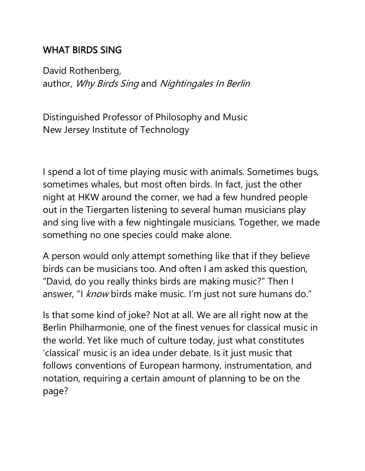### WHAT BIRDS SING

David Rothenberg, author, Why Birds Sing and Nightingales In Berlin

Distinguished Professor of Philosophy and Music New Jersey Institute of Technology

I spend a lot of time playing music with animals. Sometimes bugs, sometimes whales, but most often birds. In fact, just the other night at HKW around the corner, we had a few hundred people out in the Tiergarten listening to several human musicians play and sing live with a few nightingale musicians. Together, we made something no one species could make alone.

A person would only attempt something like that if they believe birds can be musicians too. And often I am asked this question, "David, do you really thinks birds are making music?" Then I answer, "I know birds make music. I'm just not sure humans do."

Is that some kind of joke? Not at all. We are all right now at the Berlin Philharmonie, one of the finest venues for classical music in the world. Yet like much of culture today, just what constitutes 'classical' music is an idea under debate. Is it just music that follows conventions of European harmony, instrumentation, and notation, requiring a certain amount of planning to be on the page?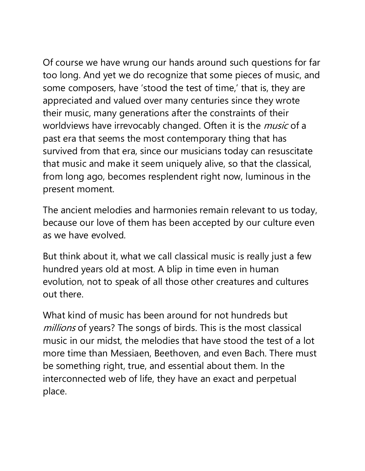Of course we have wrung our hands around such questions for far too long. And yet we do recognize that some pieces of music, and some composers, have 'stood the test of time,' that is, they are appreciated and valued over many centuries since they wrote their music, many generations after the constraints of their worldviews have irrevocably changed. Often it is the *music* of a past era that seems the most contemporary thing that has survived from that era, since our musicians today can resuscitate that music and make it seem uniquely alive, so that the classical, from long ago, becomes resplendent right now, luminous in the present moment.

The ancient melodies and harmonies remain relevant to us today, because our love of them has been accepted by our culture even as we have evolved.

But think about it, what we call classical music is really just a few hundred years old at most. A blip in time even in human evolution, not to speak of all those other creatures and cultures out there.

What kind of music has been around for not hundreds but millions of years? The songs of birds. This is the most classical music in our midst, the melodies that have stood the test of a lot more time than Messiaen, Beethoven, and even Bach. There must be something right, true, and essential about them. In the interconnected web of life, they have an exact and perpetual place.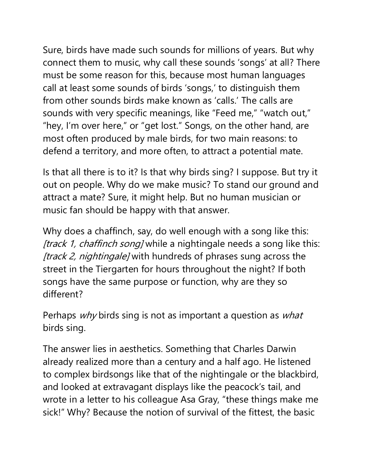Sure, birds have made such sounds for millions of years. But why connect them to music, why call these sounds 'songs' at all? There must be some reason for this, because most human languages call at least some sounds of birds 'songs,' to distinguish them from other sounds birds make known as 'calls.' The calls are sounds with very specific meanings, like "Feed me," "watch out," "hey, I'm over here," or "get lost." Songs, on the other hand, are most often produced by male birds, for two main reasons: to defend a territory, and more often, to attract a potential mate.

Is that all there is to it? Is that why birds sing? I suppose. But try it out on people. Why do we make music? To stand our ground and attract a mate? Sure, it might help. But no human musician or music fan should be happy with that answer.

Why does a chaffinch, say, do well enough with a song like this: [track 1, chaffinch song] while a nightingale needs a song like this: [track 2, nightingale] with hundreds of phrases sung across the street in the Tiergarten for hours throughout the night? If both songs have the same purpose or function, why are they so different?

Perhaps  $why$  birds sing is not as important a question as  $what$ birds sing.

The answer lies in aesthetics. Something that Charles Darwin already realized more than a century and a half ago. He listened to complex birdsongs like that of the nightingale or the blackbird, and looked at extravagant displays like the peacock's tail, and wrote in a letter to his colleague Asa Gray, "these things make me sick!" Why? Because the notion of survival of the fittest, the basic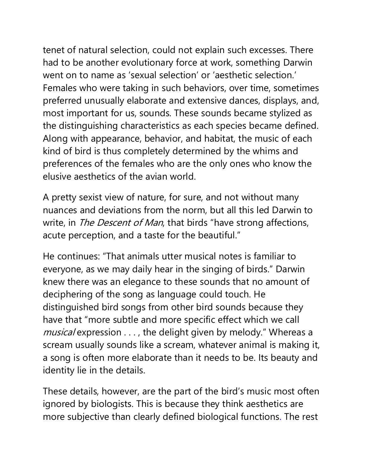tenet of natural selection, could not explain such excesses. There had to be another evolutionary force at work, something Darwin went on to name as 'sexual selection' or 'aesthetic selection.' Females who were taking in such behaviors, over time, sometimes preferred unusually elaborate and extensive dances, displays, and, most important for us, sounds. These sounds became stylized as the distinguishing characteristics as each species became defined. Along with appearance, behavior, and habitat, the music of each kind of bird is thus completely determined by the whims and preferences of the females who are the only ones who know the elusive aesthetics of the avian world.

A pretty sexist view of nature, for sure, and not without many nuances and deviations from the norm, but all this led Darwin to write, in *The Descent of Man*, that birds "have strong affections, acute perception, and a taste for the beautiful."

He continues: "That animals utter musical notes is familiar to everyone, as we may daily hear in the singing of birds." Darwin knew there was an elegance to these sounds that no amount of deciphering of the song as language could touch. He distinguished bird songs from other bird sounds because they have that "more subtle and more specific effect which we call musical expression . . . , the delight given by melody." Whereas a scream usually sounds like a scream, whatever animal is making it, a song is often more elaborate than it needs to be. Its beauty and identity lie in the details.

These details, however, are the part of the bird's music most often ignored by biologists. This is because they think aesthetics are more subjective than clearly defined biological functions. The rest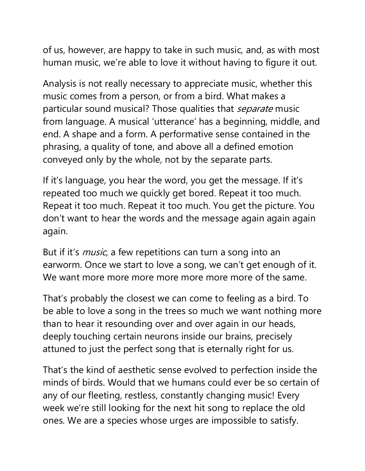of us, however, are happy to take in such music, and, as with most human music, we're able to love it without having to figure it out.

Analysis is not really necessary to appreciate music, whether this music comes from a person, or from a bird. What makes a particular sound musical? Those qualities that *separate* music from language. A musical 'utterance' has a beginning, middle, and end. A shape and a form. A performative sense contained in the phrasing, a quality of tone, and above all a defined emotion conveyed only by the whole, not by the separate parts.

If it's language, you hear the word, you get the message. If it's repeated too much we quickly get bored. Repeat it too much. Repeat it too much. Repeat it too much. You get the picture. You don't want to hear the words and the message again again again again.

But if it's *music*, a few repetitions can turn a song into an earworm. Once we start to love a song, we can't get enough of it. We want more more more more more more more of the same.

That's probably the closest we can come to feeling as a bird. To be able to love a song in the trees so much we want nothing more than to hear it resounding over and over again in our heads, deeply touching certain neurons inside our brains, precisely attuned to just the perfect song that is eternally right for us.

That's the kind of aesthetic sense evolved to perfection inside the minds of birds. Would that we humans could ever be so certain of any of our fleeting, restless, constantly changing music! Every week we're still looking for the next hit song to replace the old ones. We are a species whose urges are impossible to satisfy.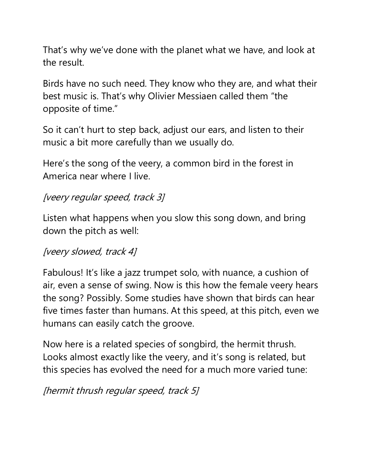That's why we've done with the planet what we have, and look at the result.

Birds have no such need. They know who they are, and what their best music is. That's why Olivier Messiaen called them "the opposite of time."

So it can't hurt to step back, adjust our ears, and listen to their music a bit more carefully than we usually do.

Here's the song of the veery, a common bird in the forest in America near where I live.

### [veery regular speed, track 3]

Listen what happens when you slow this song down, and bring down the pitch as well:

## [veery slowed, track 4]

Fabulous! It's like a jazz trumpet solo, with nuance, a cushion of air, even a sense of swing. Now is this how the female veery hears the song? Possibly. Some studies have shown that birds can hear five times faster than humans. At this speed, at this pitch, even we humans can easily catch the groove.

Now here is a related species of songbird, the hermit thrush. Looks almost exactly like the veery, and it's song is related, but this species has evolved the need for a much more varied tune:

[hermit thrush regular speed, track 5]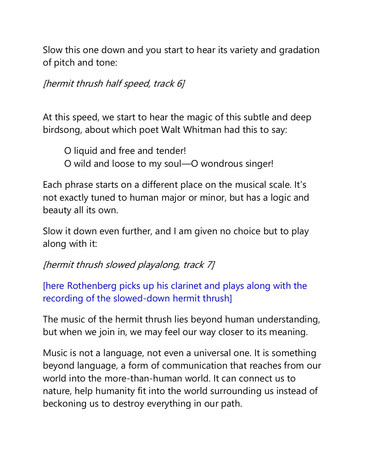Slow this one down and you start to hear its variety and gradation of pitch and tone:

[hermit thrush half speed, track 6]

At this speed, we start to hear the magic of this subtle and deep birdsong, about which poet Walt Whitman had this to say:

O liquid and free and tender! O wild and loose to my soul—O wondrous singer!

Each phrase starts on a different place on the musical scale. It's not exactly tuned to human major or minor, but has a logic and beauty all its own.

Slow it down even further, and I am given no choice but to play along with it:

# [hermit thrush slowed playalong, track 7]

[here Rothenberg picks up his clarinet and plays along with the recording of the slowed-down hermit thrush]

The music of the hermit thrush lies beyond human understanding, but when we join in, we may feel our way closer to its meaning.

Music is not a language, not even a universal one. It is something beyond language, a form of communication that reaches from our world into the more-than-human world. It can connect us to nature, help humanity fit into the world surrounding us instead of beckoning us to destroy everything in our path.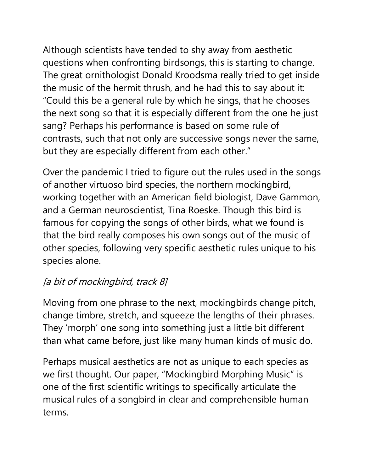Although scientists have tended to shy away from aesthetic questions when confronting birdsongs, this is starting to change. The great ornithologist Donald Kroodsma really tried to get inside the music of the hermit thrush, and he had this to say about it: "Could this be a general rule by which he sings, that he chooses the next song so that it is especially different from the one he just sang? Perhaps his performance is based on some rule of contrasts, such that not only are successive songs never the same, but they are especially different from each other."

Over the pandemic I tried to figure out the rules used in the songs of another virtuoso bird species, the northern mockingbird, working together with an American field biologist, Dave Gammon, and a German neuroscientist, Tina Roeske. Though this bird is famous for copying the songs of other birds, what we found is that the bird really composes his own songs out of the music of other species, following very specific aesthetic rules unique to his species alone.

# [a bit of mockingbird, track 8]

Moving from one phrase to the next, mockingbirds change pitch, change timbre, stretch, and squeeze the lengths of their phrases. They 'morph' one song into something just a little bit different than what came before, just like many human kinds of music do.

Perhaps musical aesthetics are not as unique to each species as we first thought. Our paper, "Mockingbird Morphing Music" is one of the first scientific writings to specifically articulate the musical rules of a songbird in clear and comprehensible human terms.